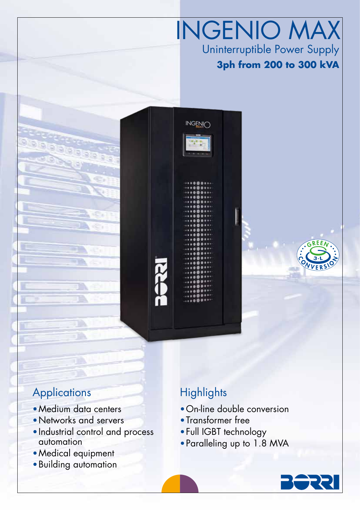## INGENIO MAX Uninterruptible Power Supply **3ph from 200 to 300 kVA**

### **Applications**

•Medium data centers

T.

- •Networks and servers
- •Industrial control and process automation
- •Medical equipment
- •Building automation

## **Highlights**

**INGENIC** 

- •On-line double conversion
- •Transformer free
- •Full IGBT technology
- •Paralleling up to 1.8 MVA

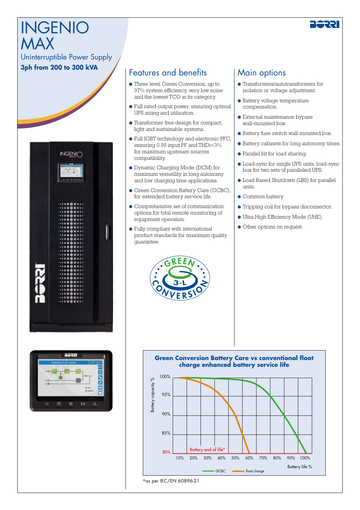# INGENIO MAX



#### Uninterruptible Power Supply **3ph from 200 to 300 kVA**





#### Features and benefits

- Three level Green Conversion, up to 97% system efficiency, very low noise and the lowest TCO in its category.
- Full rated output power, ensuring optimal UPS sizing and utilization.
- Transformer free design for compact, light and sustainable systems.
- Full IGBT technology and electronic PFC, ensuring 0.99 input PF and THDi<3% for maximum upstream sources compatibility.
- Dynamic Charging Mode (DCM) for maximum versatility in long autonomy and low charging time applications.
- Green Conversion Battery Care (GCBC), for extended battery service life.
- Comprehensive set of communication options for total remote monitoring of equipment operation.
- Fully compliant with international product standards for maximum quality guarantee.

#### Main options

- Transformers/autotransformers for isolation or voltage adjustment.
- Battery voltage temperature compensation.
- External maintenance bypass wall-mounted box.
- Battery fuse switch wall-mounted box.
- Battery cabinets for long autonomy times.
- Parallel kit for load sharing.
- Load-sync for single UPS units, load-sync box for two sets of paralleled UPS.
- Load Based Shutdown (LBS) for parallel units.
- Common battery.
- Tripping coil for bypass disconnector.
- Ultra High Efficiency Mode (UHE).
- Other options on request.



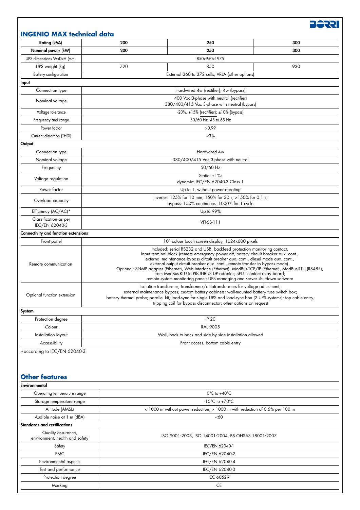| <b>Rating (kVA)</b>                         | 200                                                                                                                                                                                                                                                                                                                                                                                                                                                                                                                                                                                                 | 250                              | 300 |
|---------------------------------------------|-----------------------------------------------------------------------------------------------------------------------------------------------------------------------------------------------------------------------------------------------------------------------------------------------------------------------------------------------------------------------------------------------------------------------------------------------------------------------------------------------------------------------------------------------------------------------------------------------------|----------------------------------|-----|
| Nominal power (kW)                          | 200                                                                                                                                                                                                                                                                                                                                                                                                                                                                                                                                                                                                 | 250                              | 300 |
| UPS dimensions WxDxH (mm)                   | 850x950x1975                                                                                                                                                                                                                                                                                                                                                                                                                                                                                                                                                                                        |                                  |     |
| UPS weight (kg)                             | 720                                                                                                                                                                                                                                                                                                                                                                                                                                                                                                                                                                                                 | 850                              | 930 |
| Battery configuration                       | External 360 to 372 cells, VRLA (other options)                                                                                                                                                                                                                                                                                                                                                                                                                                                                                                                                                     |                                  |     |
| Input                                       |                                                                                                                                                                                                                                                                                                                                                                                                                                                                                                                                                                                                     |                                  |     |
| Connection type                             | Hardwired 4w (rectifier), 4w (bypass)                                                                                                                                                                                                                                                                                                                                                                                                                                                                                                                                                               |                                  |     |
| Nominal voltage                             | 400 Vac 3-phase with neutral (rectifier)<br>380/400/415 Vac 3-phase with neutral (bypass)                                                                                                                                                                                                                                                                                                                                                                                                                                                                                                           |                                  |     |
| Voltage tolerance                           | $-20\%$ , $+15\%$ (rectifier); $\pm 10\%$ (bypass)                                                                                                                                                                                                                                                                                                                                                                                                                                                                                                                                                  |                                  |     |
| Frequency and range                         | 50/60 Hz, 45 to 65 Hz                                                                                                                                                                                                                                                                                                                                                                                                                                                                                                                                                                               |                                  |     |
| Power factor                                | >0.99                                                                                                                                                                                                                                                                                                                                                                                                                                                                                                                                                                                               |                                  |     |
| Current distortion (THDi)                   | $~1.3\%$                                                                                                                                                                                                                                                                                                                                                                                                                                                                                                                                                                                            |                                  |     |
| Output                                      |                                                                                                                                                                                                                                                                                                                                                                                                                                                                                                                                                                                                     |                                  |     |
| Connection type                             | Hardwired 4w                                                                                                                                                                                                                                                                                                                                                                                                                                                                                                                                                                                        |                                  |     |
| Nominal voltage                             | 380/400/415 Vac 3-phase with neutral                                                                                                                                                                                                                                                                                                                                                                                                                                                                                                                                                                |                                  |     |
| Frequency                                   | 50/60 Hz                                                                                                                                                                                                                                                                                                                                                                                                                                                                                                                                                                                            |                                  |     |
| Voltage regulation                          | Static: $\pm 1\%$ ;                                                                                                                                                                                                                                                                                                                                                                                                                                                                                                                                                                                 |                                  |     |
|                                             | dynamic: IEC/EN 62040-3 Class 1                                                                                                                                                                                                                                                                                                                                                                                                                                                                                                                                                                     |                                  |     |
| Power factor                                | Up to 1, without power derating                                                                                                                                                                                                                                                                                                                                                                                                                                                                                                                                                                     |                                  |     |
| Overload capacity                           | Inverter: 125% for 10 min, 150% for 30 s, >150% for 0.1 s;<br>bypass: 150% continuous, 1000% for 1 cycle                                                                                                                                                                                                                                                                                                                                                                                                                                                                                            |                                  |     |
| Efficiency (AC/AC)*                         | Up to 99%                                                                                                                                                                                                                                                                                                                                                                                                                                                                                                                                                                                           |                                  |     |
| Classification as per<br>IEC/EN 62040-3     | <b>VFI-SS-111</b>                                                                                                                                                                                                                                                                                                                                                                                                                                                                                                                                                                                   |                                  |     |
| <b>Connectivity and function extensions</b> |                                                                                                                                                                                                                                                                                                                                                                                                                                                                                                                                                                                                     |                                  |     |
| Front panel                                 | 10" colour touch screen display, 1024x600 pixels                                                                                                                                                                                                                                                                                                                                                                                                                                                                                                                                                    |                                  |     |
| Remote communication                        | Included: serial RS232 and USB, backfeed protection monitoring contact,<br>input terminal block (remote emergency power off, battery circuit breaker aux. cont.,<br>external maintenance bypass circuit breaker aux. cont., diesel mode aux. cont.,<br>external output circuit breaker aux. cont., remote transfer to bypass mode).<br>Optional: SNMP adapter (Ethernet), Web interface (Ethernet), ModBus-TCP/IP (Ethernet), ModBus-RTU (RS485),<br>from ModBus-RTU to PROFIBUS DP adapter; SPDT contact relay board;<br>remote system monitoring panel; UPS managing and server shutdown software |                                  |     |
| Optional function extension                 | Isolation transformer; transformers/autotransformers for voltage adjustment;<br>external maintenance bypass; custom battery cabinets; wall-mounted battery fuse switch box;<br>battery thermal probe; parallel kit, load-sync for single UPS and load-sync box (2 UPS systems); top cable entry;<br>tripping coil for bypass disconnector; other options on request                                                                                                                                                                                                                                 |                                  |     |
| System                                      |                                                                                                                                                                                                                                                                                                                                                                                                                                                                                                                                                                                                     |                                  |     |
| Protection degree                           | <b>IP 20</b>                                                                                                                                                                                                                                                                                                                                                                                                                                                                                                                                                                                        |                                  |     |
| Colour                                      | <b>RAL 9005</b>                                                                                                                                                                                                                                                                                                                                                                                                                                                                                                                                                                                     |                                  |     |
| Installation layout                         | Wall, back to back and side by side installation allowed                                                                                                                                                                                                                                                                                                                                                                                                                                                                                                                                            |                                  |     |
| Accessibility                               |                                                                                                                                                                                                                                                                                                                                                                                                                                                                                                                                                                                                     | Front access, bottom cable entry |     |

#### **Other features**

| Environmental                                        |                                                                             |  |
|------------------------------------------------------|-----------------------------------------------------------------------------|--|
| Operating temperature range                          | $0^{\circ}$ C to +40 $^{\circ}$ C                                           |  |
| Storage temperature range                            | -10 $\degree$ C to +70 $\degree$ C                                          |  |
| Altitude (AMSL)                                      | < 1000 m without power reduction, > 1000 m with reduction of 0.5% per 100 m |  |
| Audible noise at 1 m (dBA)                           | <60                                                                         |  |
| Standards and certifications                         |                                                                             |  |
| Quality assurance,<br>environment, health and safety | ISO 9001:2008, ISO 14001:2004, BS OHSAS 18001:2007                          |  |
| Safety                                               | IEC/EN 62040-1                                                              |  |
| <b>EMC</b>                                           | IEC/EN 62040-2                                                              |  |
| Environmental aspects                                | IEC/EN 62040-4                                                              |  |
| Test and performance                                 | IEC/EN 62040-3                                                              |  |
| Protection degree                                    | IEC 60529                                                                   |  |
| Marking                                              | <b>CE</b>                                                                   |  |